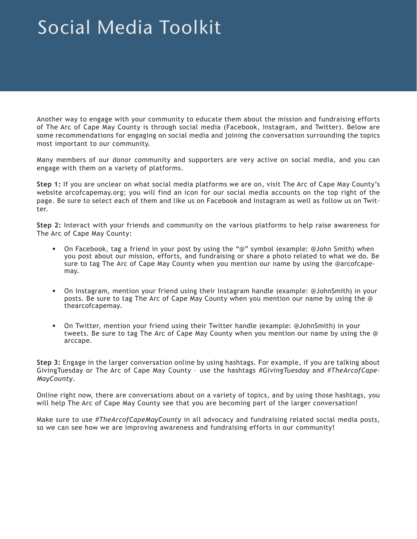## Social Media Toolkit

Another way to engage with your community to educate them about the mission and fundraising efforts of The Arc of Cape May County is through social media (Facebook, Instagram, and Twitter). Below are some recommendations for engaging on social media and joining the conversation surrounding the topics most important to our community.

Many members of our donor community and supporters are very active on social media, and you can engage with them on a variety of platforms.

**Step 1:** If you are unclear on what social media platforms we are on, visit The Arc of Cape May County's website arcofcapemay.org; you will find an icon for our social media accounts on the top right of the page. Be sure to select each of them and like us on Facebook and Instagram as well as follow us on Twitter.

**Step 2:** Interact with your friends and community on the various platforms to help raise awareness for The Arc of Cape May County:

- On Facebook, tag a friend in your post by using the "@" symbol (example: @John Smith) when you post about our mission, efforts, and fundraising or share a photo related to what we do. Be sure to tag The Arc of Cape May County when you mention our name by using the @arcofcapemay.
- On Instagram, mention your friend using their Instagram handle (example: @JohnSmith) in your posts. Be sure to tag The Arc of Cape May County when you mention our name by using the @ thearcofcapemay.
- On Twitter, mention your friend using their Twitter handle (example: @JohnSmith) in your tweets. Be sure to tag The Arc of Cape May County when you mention our name by using the @ arccape.

**Step 3:** Engage in the larger conversation online by using hashtags. For example, if you are talking about GivingTuesday or The Arc of Cape May County – use the hashtags *#GivingTuesday* and *#TheArcofCape-MayCounty*.

Online right now, there are conversations about on a variety of topics, and by using those hashtags, you will help The Arc of Cape May County see that you are becoming part of the larger conversation!

Make sure to use *#TheArcofCapeMayCounty* in all advocacy and fundraising related social media posts, so we can see how we are improving awareness and fundraising efforts in our community!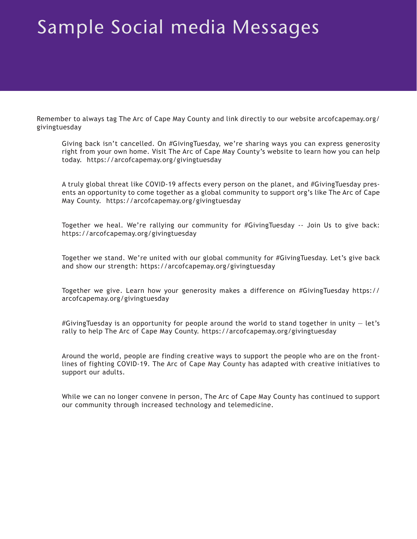## Sample Social media Messages

Remember to always tag The Arc of Cape May County and link directly to our website arcofcapemay.org/ givingtuesday

Giving back isn't cancelled. On #GivingTuesday, we're sharing ways you can express generosity right from your own home. Visit The Arc of Cape May County's website to learn how you can help today. https://arcofcapemay.org/givingtuesday

A truly global threat like COVID-19 affects every person on the planet, and #GivingTuesday presents an opportunity to come together as a global community to support org's like The Arc of Cape May County. https://arcofcapemay.org/givingtuesday

Together we heal. We're rallying our community for #GivingTuesday -- Join Us to give back: https://arcofcapemay.org/givingtuesday

Together we stand. We're united with our global community for #GivingTuesday. Let's give back and show our strength: https://arcofcapemay.org/givingtuesday

Together we give. Learn how your generosity makes a difference on #GivingTuesday https:// arcofcapemay.org/givingtuesday

#GivingTuesday is an opportunity for people around the world to stand together in unity  $-$  let's rally to help The Arc of Cape May County. https://arcofcapemay.org/givingtuesday

Around the world, people are finding creative ways to support the people who are on the frontlines of fighting COVID-19. The Arc of Cape May County has adapted with creative initiatives to support our adults.

While we can no longer convene in person, The Arc of Cape May County has continued to support our community through increased technology and telemedicine.